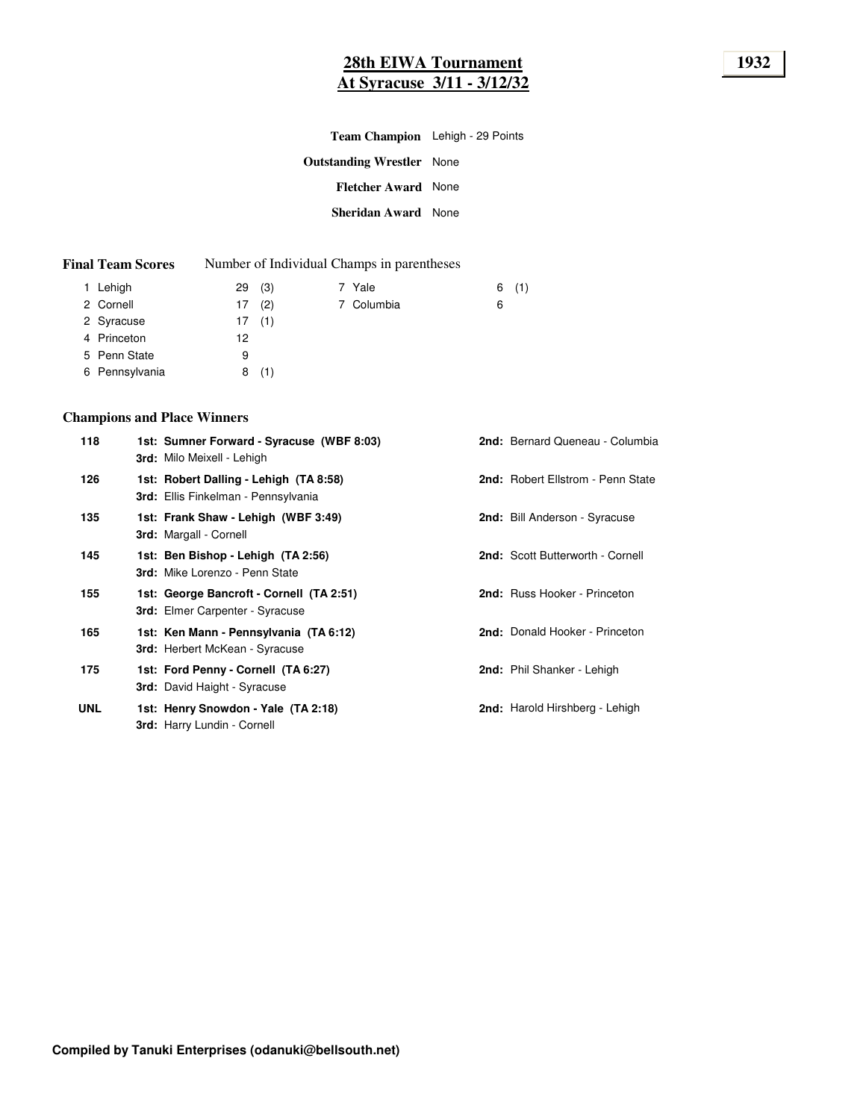| Team Champion Lehigh - 29 Points |  |
|----------------------------------|--|
| <b>Outstanding Wrestler</b> None |  |
| <b>Fletcher Award</b> None       |  |
| <b>Sheridan Award</b> None       |  |
|                                  |  |

| <b>Final Team Scores</b> |  | Number of Individual Champs in parentheses |
|--------------------------|--|--------------------------------------------|
|--------------------------|--|--------------------------------------------|

| 29(3)     | 7 Yale     | (1)<br>6 |
|-----------|------------|----------|
| (2)<br>17 | 7 Columbia | 6        |
| 17(1)     |            |          |
| 12        |            |          |
| 9         |            |          |
| (1)<br>8  |            |          |
|           |            |          |

# **Champions and Place Winners**

| 118        | 1st: Sumner Forward - Syracuse (WBF 8:03)<br>3rd: Milo Meixell - Lehigh              | 2nd: Bernard Queneau - Columbia   |
|------------|--------------------------------------------------------------------------------------|-----------------------------------|
| 126        | 1st: Robert Dalling - Lehigh (TA 8:58)<br><b>3rd:</b> Ellis Finkelman - Pennsylvania | 2nd: Robert Ellstrom - Penn State |
| 135        | 1st: Frank Shaw - Lehigh (WBF 3:49)<br>3rd: Margall - Cornell                        | 2nd: Bill Anderson - Syracuse     |
| 145        | 1st: Ben Bishop - Lehigh (TA 2:56)<br>3rd: Mike Lorenzo - Penn State                 | 2nd: Scott Butterworth - Cornell  |
| 155        | 1st: George Bancroft - Cornell (TA 2:51)<br><b>3rd:</b> Elmer Carpenter - Syracuse   | 2nd: Russ Hooker - Princeton      |
| 165        | 1st: Ken Mann - Pennsylvania (TA 6:12)<br><b>3rd:</b> Herbert McKean - Syracuse      | 2nd: Donald Hooker - Princeton    |
| 175        | 1st: Ford Penny - Cornell (TA 6:27)<br><b>3rd:</b> David Haight - Syracuse           | 2nd: Phil Shanker - Lehigh        |
| <b>UNL</b> | 1st: Henry Snowdon - Yale (TA 2:18)<br><b>3rd:</b> Harry Lundin - Cornell            | 2nd: Harold Hirshberg - Lehigh    |
|            |                                                                                      |                                   |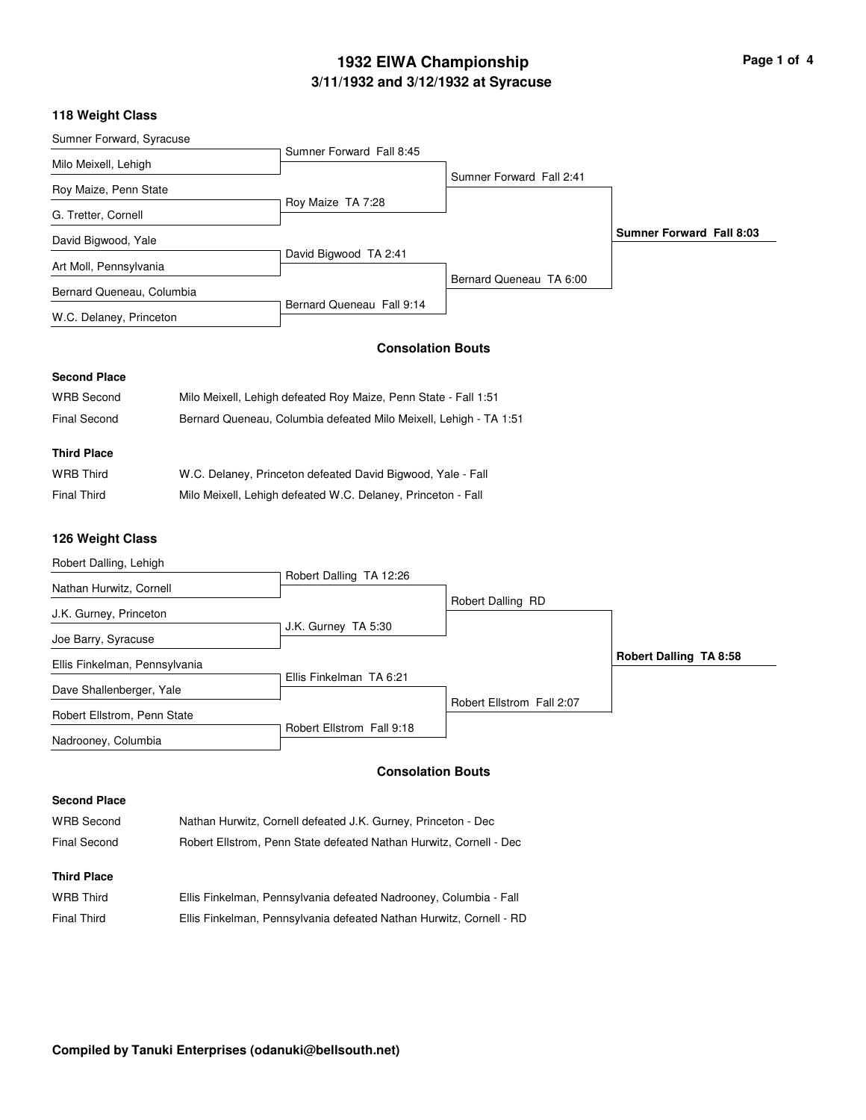# **3/11/1932 and 3/12/1932 at Syracuse 1932 EIWA Championship Page 1 of 4**

### **118 Weight Class**

| Sumner Forward, Syracuse  |                           |                          |                          |
|---------------------------|---------------------------|--------------------------|--------------------------|
|                           | Sumner Forward Fall 8:45  |                          |                          |
| Milo Meixell, Lehigh      |                           |                          |                          |
| Roy Maize, Penn State     |                           | Sumner Forward Fall 2:41 |                          |
|                           | Roy Maize TA 7:28         |                          |                          |
| G. Tretter, Cornell       |                           |                          |                          |
| David Bigwood, Yale       |                           |                          | Sumner Forward Fall 8:03 |
| Art Moll, Pennsylvania    | David Bigwood TA 2:41     |                          |                          |
|                           |                           | Bernard Queneau TA 6:00  |                          |
| Bernard Queneau, Columbia |                           |                          |                          |
| W.C. Delaney, Princeton   | Bernard Queneau Fall 9:14 |                          |                          |

### **Consolation Bouts**

#### **Second Place**

| WRB Second         | Milo Meixell, Lehigh defeated Roy Maize, Penn State - Fall 1:51   |
|--------------------|-------------------------------------------------------------------|
| Final Second       | Bernard Queneau, Columbia defeated Milo Meixell, Lehigh - TA 1:51 |
| <b>Third Place</b> |                                                                   |
| <b>WRB Third</b>   | W.C. Delaney, Princeton defeated David Bigwood, Yale - Fall       |

| Final Third | Milo Meixell, Lehigh defeated W.C. Delaney, Princeton - Fall |
|-------------|--------------------------------------------------------------|

## **126 Weight Class**

| Robert Dalling, Lehigh        |                           |                           |                               |
|-------------------------------|---------------------------|---------------------------|-------------------------------|
|                               | Robert Dalling TA 12:26   |                           |                               |
| Nathan Hurwitz, Cornell       |                           |                           |                               |
| J.K. Gurney, Princeton        |                           | Robert Dalling RD         |                               |
|                               | J.K. Gurney TA 5:30       |                           |                               |
| Joe Barry, Syracuse           |                           |                           |                               |
| Ellis Finkelman, Pennsylvania |                           |                           | <b>Robert Dalling TA 8:58</b> |
|                               | Ellis Finkelman TA 6:21   |                           |                               |
| Dave Shallenberger, Yale      |                           | Robert Ellstrom Fall 2:07 |                               |
| Robert Ellstrom, Penn State   |                           |                           |                               |
| Nadrooney, Columbia           | Robert Ellstrom Fall 9:18 |                           |                               |
|                               |                           |                           |                               |

# **Consolation Bouts**

| WRB Second         | Nathan Hurwitz, Cornell defeated J.K. Gurney, Princeton - Dec      |
|--------------------|--------------------------------------------------------------------|
| Final Second       | Robert Ellstrom, Penn State defeated Nathan Hurwitz, Cornell - Dec |
|                    |                                                                    |
| <b>Third Place</b> |                                                                    |
| <b>WRB Third</b>   | Ellis Finkelman, Pennsylvania defeated Nadrooney, Columbia - Fall  |

|                    | Line i innonnan, i chrisylvania doloatod i vadrobnov, Oblahlbia i ali |
|--------------------|-----------------------------------------------------------------------|
| <b>Final Third</b> | Ellis Finkelman, Pennsylvania defeated Nathan Hurwitz, Cornell - RD   |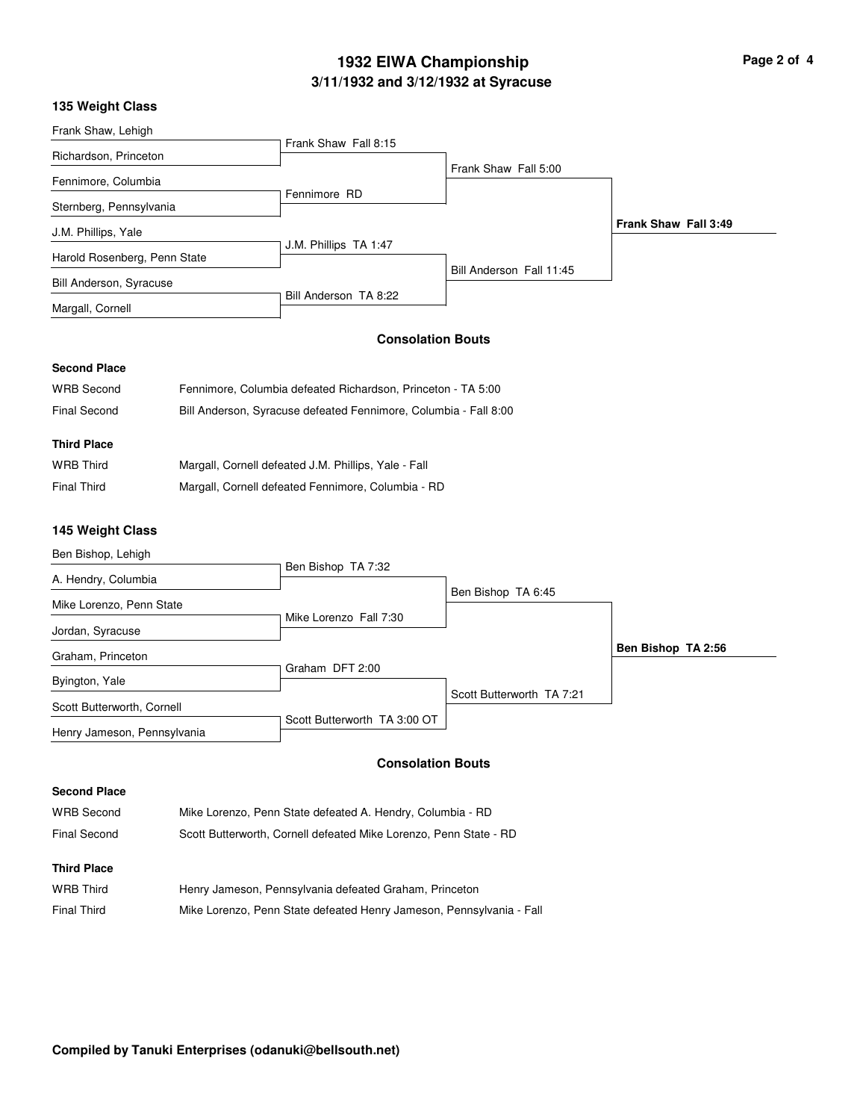# **3/11/1932 and 3/12/1932 at Syracuse 1932 EIWA Championship**

| Page 2 of 4 |  |  |
|-------------|--|--|
|             |  |  |

### **135 Weight Class**

| <b>133 WEIGHT CIASS</b>      |                                                                  |                          |                      |
|------------------------------|------------------------------------------------------------------|--------------------------|----------------------|
| Frank Shaw, Lehigh           |                                                                  |                          |                      |
| Richardson, Princeton        | Frank Shaw Fall 8:15                                             |                          |                      |
| Fennimore, Columbia          |                                                                  | Frank Shaw Fall 5:00     |                      |
| Sternberg, Pennsylvania      | Fennimore RD                                                     |                          |                      |
| J.M. Phillips, Yale          |                                                                  |                          | Frank Shaw Fall 3:49 |
|                              | J.M. Phillips TA 1:47                                            |                          |                      |
| Harold Rosenberg, Penn State |                                                                  | Bill Anderson Fall 11:45 |                      |
| Bill Anderson, Syracuse      | Bill Anderson TA 8:22                                            |                          |                      |
| Margall, Cornell             |                                                                  |                          |                      |
|                              | <b>Consolation Bouts</b>                                         |                          |                      |
| <b>Second Place</b>          |                                                                  |                          |                      |
| <b>WRB Second</b>            | Fennimore, Columbia defeated Richardson, Princeton - TA 5:00     |                          |                      |
| <b>Final Second</b>          | Bill Anderson, Syracuse defeated Fennimore, Columbia - Fall 8:00 |                          |                      |
| <b>Third Place</b>           |                                                                  |                          |                      |
| <b>WRB Third</b>             | Margall, Cornell defeated J.M. Phillips, Yale - Fall             |                          |                      |
| <b>Final Third</b>           | Margall, Cornell defeated Fennimore, Columbia - RD               |                          |                      |
|                              |                                                                  |                          |                      |
| 145 Weight Class             |                                                                  |                          |                      |
| Ben Bishop, Lehigh           |                                                                  |                          |                      |
| A. Hendry, Columbia          | Ben Bishop TA 7:32                                               |                          |                      |
| Mike Lorenzo, Penn State     |                                                                  | Ben Bishop TA 6:45       |                      |
| Jordan, Syracuse             | Mike Lorenzo Fall 7:30                                           |                          |                      |
| Graham, Princeton            |                                                                  |                          | Ben Bishop TA 2:56   |
| Byington, Yale               | Graham DFT 2:00                                                  |                          |                      |

Henry Jameson, Pennsylvania

Scott Butterworth, Cornell

### **Consolation Bouts**

Scott Butterworth TA 7:21

Scott Butterworth TA 3:00 OT

| WRB Second         | Mike Lorenzo, Penn State defeated A. Hendry, Columbia - RD           |
|--------------------|----------------------------------------------------------------------|
| Final Second       | Scott Butterworth, Cornell defeated Mike Lorenzo, Penn State - RD    |
| <b>Third Place</b> |                                                                      |
| <b>WRB Third</b>   | Henry Jameson, Pennsylvania defeated Graham, Princeton               |
| Final Third        | Mike Lorenzo, Penn State defeated Henry Jameson, Pennsylvania - Fall |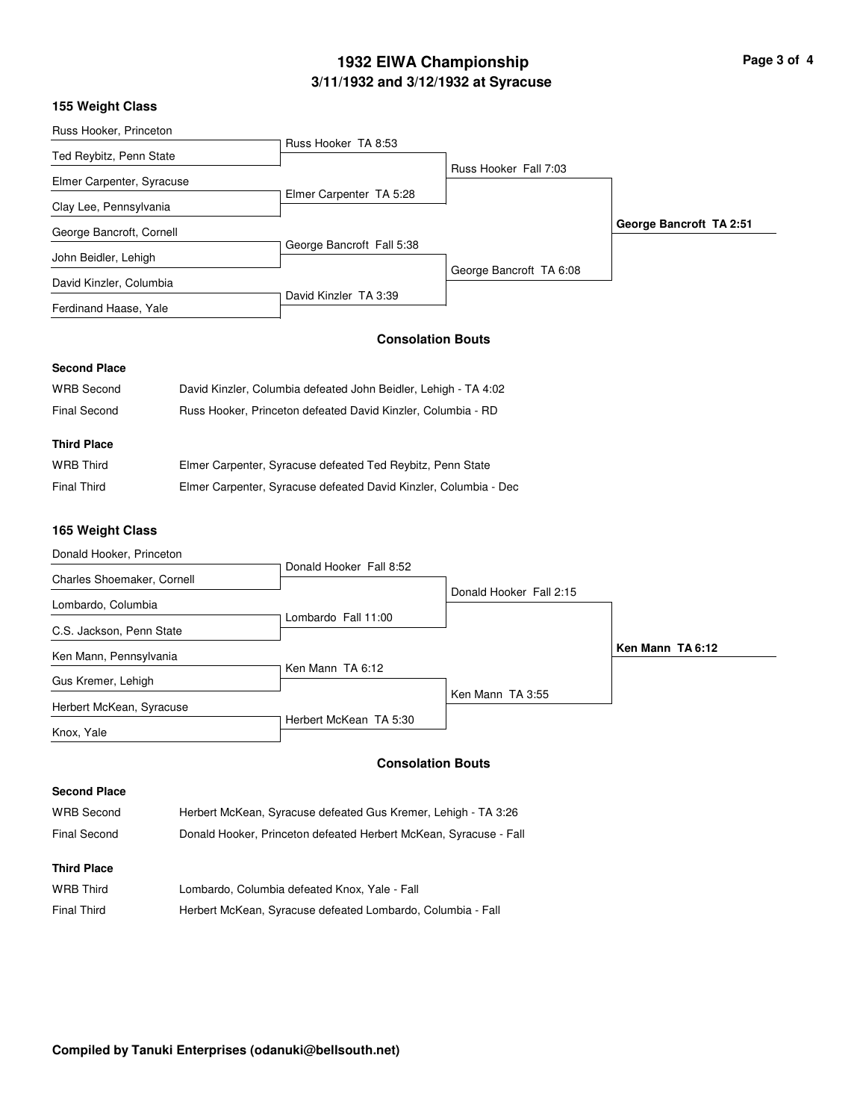# **3/11/1932 and 3/12/1932 at Syracuse 1932 EIWA Championship Page 3 of 4**

## **155 Weight Class**

| Russ Hooker, Princeton    |                           |                         |                         |
|---------------------------|---------------------------|-------------------------|-------------------------|
|                           | Russ Hooker TA 8:53       |                         |                         |
| Ted Reybitz, Penn State   |                           |                         |                         |
| Elmer Carpenter, Syracuse |                           | Russ Hooker Fall 7:03   |                         |
|                           | Elmer Carpenter TA 5:28   |                         |                         |
| Clay Lee, Pennsylvania    |                           |                         |                         |
| George Bancroft, Cornell  |                           |                         | George Bancroft TA 2:51 |
|                           | George Bancroft Fall 5:38 |                         |                         |
| John Beidler, Lehigh      |                           |                         |                         |
| David Kinzler, Columbia   |                           | George Bancroft TA 6:08 |                         |
|                           | David Kinzler TA 3:39     |                         |                         |
| Ferdinand Haase, Yale     |                           |                         |                         |
|                           |                           |                         |                         |

# **Consolation Bouts**

# **Second Place**

| <b>WRB Second</b>   | David Kinzler, Columbia defeated John Beidler, Lehigh - TA 4:02 |
|---------------------|-----------------------------------------------------------------|
| <b>Final Second</b> | Russ Hooker, Princeton defeated David Kinzler, Columbia - RD    |
| <b>Third Place</b>  |                                                                 |
| <b>WRB Third</b>    |                                                                 |
|                     | Elmer Carpenter, Syracuse defeated Ted Reybitz, Penn State      |

# **165 Weight Class**

| Donald Hooker, Princeton   |                         |                         |                  |
|----------------------------|-------------------------|-------------------------|------------------|
|                            | Donald Hooker Fall 8:52 |                         |                  |
| Charles Shoemaker, Cornell |                         |                         |                  |
|                            |                         | Donald Hooker Fall 2:15 |                  |
| Lombardo, Columbia         |                         |                         |                  |
| C.S. Jackson, Penn State   | Lombardo Fall 11:00     |                         |                  |
|                            |                         |                         |                  |
| Ken Mann, Pennsylvania     |                         |                         | Ken Mann TA 6:12 |
|                            | Ken Mann TA 6:12        |                         |                  |
| Gus Kremer, Lehigh         |                         |                         |                  |
|                            |                         | Ken Mann TA 3:55        |                  |
| Herbert McKean, Syracuse   |                         |                         |                  |
|                            | Herbert McKean TA 5:30  |                         |                  |
| Knox, Yale                 |                         |                         |                  |

# **Consolation Bouts**

| WRB Second          | Herbert McKean, Syracuse defeated Gus Kremer, Lehigh - TA 3:26    |
|---------------------|-------------------------------------------------------------------|
| <b>Final Second</b> | Donald Hooker, Princeton defeated Herbert McKean, Syracuse - Fall |
| <b>Third Place</b>  |                                                                   |
| <b>WRB Third</b>    | Lombardo, Columbia defeated Knox, Yale - Fall                     |
| <b>Final Third</b>  | Herbert McKean, Syracuse defeated Lombardo, Columbia - Fall       |